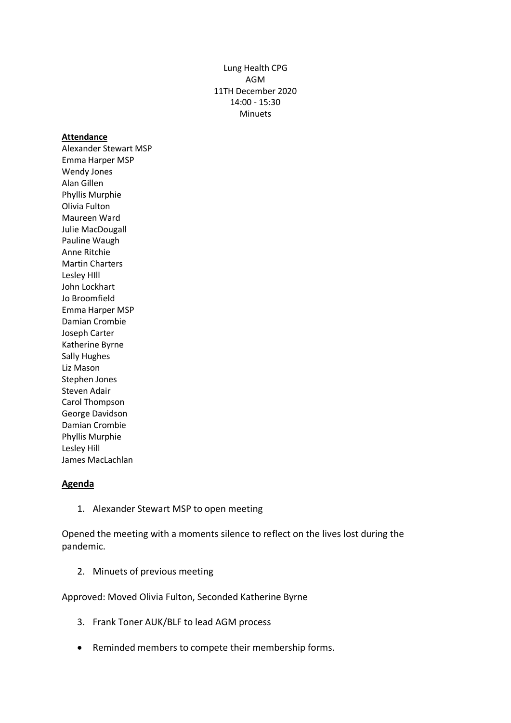Lung Health CPG AGM 11TH December 2020 14:00 - 15:30 Minuets

#### **Attendance**

Alexander Stewart MSP Emma Harper MSP Wendy Jones Alan Gillen Phyllis Murphie Olivia Fulton Maureen Ward Julie MacDougall Pauline Waugh Anne Ritchie Martin Charters Lesley HIll John Lockhart Jo Broomfield Emma Harper MSP Damian Crombie Joseph Carter Katherine Byrne Sally Hughes Liz Mason Stephen Jones Steven Adair Carol Thompson George Davidson Damian Crombie Phyllis Murphie Lesley Hill James MacLachlan

#### **Agenda**

1. Alexander Stewart MSP to open meeting

Opened the meeting with a moments silence to reflect on the lives lost during the pandemic.

2. Minuets of previous meeting

Approved: Moved Olivia Fulton, Seconded Katherine Byrne

- 3. Frank Toner AUK/BLF to lead AGM process
- Reminded members to compete their membership forms.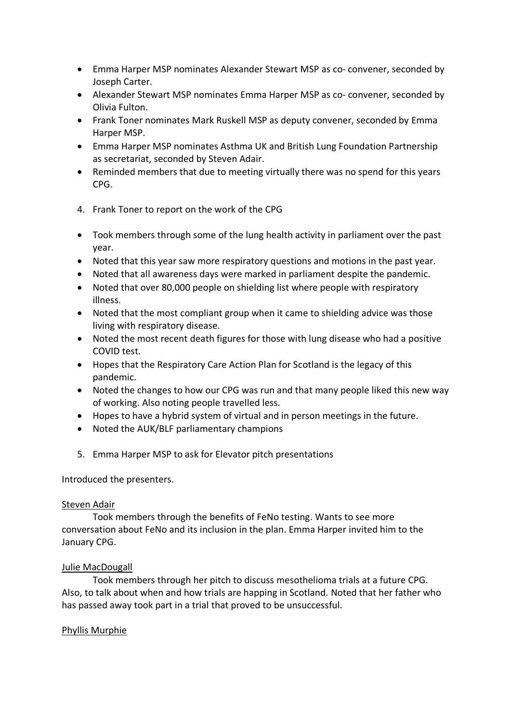- Emma Harper MSP nominates Alexander Stewart MSP as co- convener, seconded by Joseph Carter.
- Alexander Stewart MSP nominates Emma Harper MSP as co- convener, seconded by Olivia Fulton.
- Frank Toner nominates Mark Ruskell MSP as deputy convener, seconded by Emma Harper MSP.
- Emma Harper MSP nominates Asthma UK and British Lung Foundation Partnership as secretariat, seconded by Steven Adair.
- Reminded members that due to meeting virtually there was no spend for this years CPG.
- 4. Frank Toner to report on the work of the CPG
- Took members through some of the lung health activity in parliament over the past year.
- Noted that this year saw more respiratory questions and motions in the past year.
- Noted that all awareness days were marked in parliament despite the pandemic.
- Noted that over 80,000 people on shielding list where people with respiratory illness.
- Noted that the most compliant group when it came to shielding advice was those living with respiratory disease.
- Noted the most recent death figures for those with lung disease who had a positive COVID test.
- Hopes that the Respiratory Care Action Plan for Scotland is the legacy of this pandemic.
- Noted the changes to how our CPG was run and that many people liked this new way of working. Also noting people travelled less.
- Hopes to have a hybrid system of virtual and in person meetings in the future.
- Noted the AUK/BLF parliamentary champions
- 5. Emma Harper MSP to ask for Elevator pitch presentations

Introduced the presenters.

#### Steven Adair

Took members through the benefits of FeNo testing. Wants to see more conversation about FeNo and its inclusion in the plan. Emma Harper invited him to the January CPG.

### Julie MacDougall

Took members through her pitch to discuss mesothelioma trials at a future CPG. Also, to talk about when and how trials are happing in Scotland. Noted that her father who has passed away took part in a trial that proved to be unsuccessful.

### Phyllis Murphie